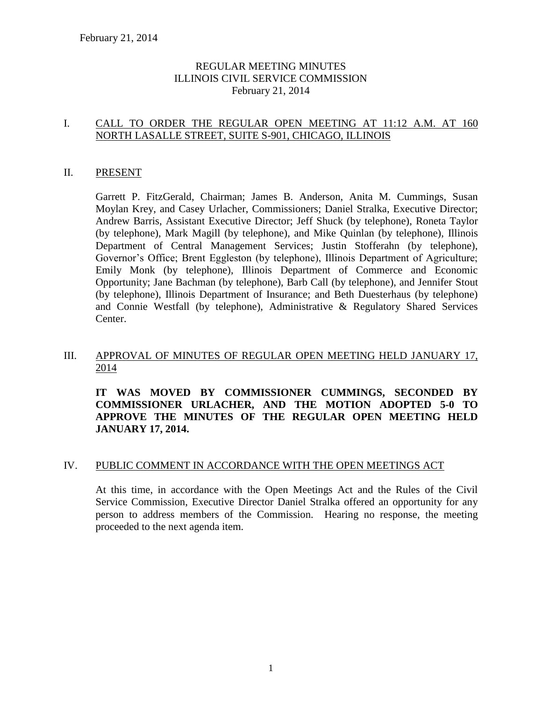### REGULAR MEETING MINUTES ILLINOIS CIVIL SERVICE COMMISSION February 21, 2014

### I. CALL TO ORDER THE REGULAR OPEN MEETING AT 11:12 A.M. AT 160 NORTH LASALLE STREET, SUITE S-901, CHICAGO, ILLINOIS

#### II. PRESENT

Garrett P. FitzGerald, Chairman; James B. Anderson, Anita M. Cummings, Susan Moylan Krey, and Casey Urlacher, Commissioners; Daniel Stralka, Executive Director; Andrew Barris, Assistant Executive Director; Jeff Shuck (by telephone), Roneta Taylor (by telephone), Mark Magill (by telephone), and Mike Quinlan (by telephone), Illinois Department of Central Management Services; Justin Stofferahn (by telephone), Governor's Office; Brent Eggleston (by telephone), Illinois Department of Agriculture; Emily Monk (by telephone), Illinois Department of Commerce and Economic Opportunity; Jane Bachman (by telephone), Barb Call (by telephone), and Jennifer Stout (by telephone), Illinois Department of Insurance; and Beth Duesterhaus (by telephone) and Connie Westfall (by telephone), Administrative & Regulatory Shared Services Center.

### III. APPROVAL OF MINUTES OF REGULAR OPEN MEETING HELD JANUARY 17, 2014

**IT WAS MOVED BY COMMISSIONER CUMMINGS, SECONDED BY COMMISSIONER URLACHER, AND THE MOTION ADOPTED 5-0 TO APPROVE THE MINUTES OF THE REGULAR OPEN MEETING HELD JANUARY 17, 2014.** 

#### IV. PUBLIC COMMENT IN ACCORDANCE WITH THE OPEN MEETINGS ACT

At this time, in accordance with the Open Meetings Act and the Rules of the Civil Service Commission, Executive Director Daniel Stralka offered an opportunity for any person to address members of the Commission. Hearing no response, the meeting proceeded to the next agenda item.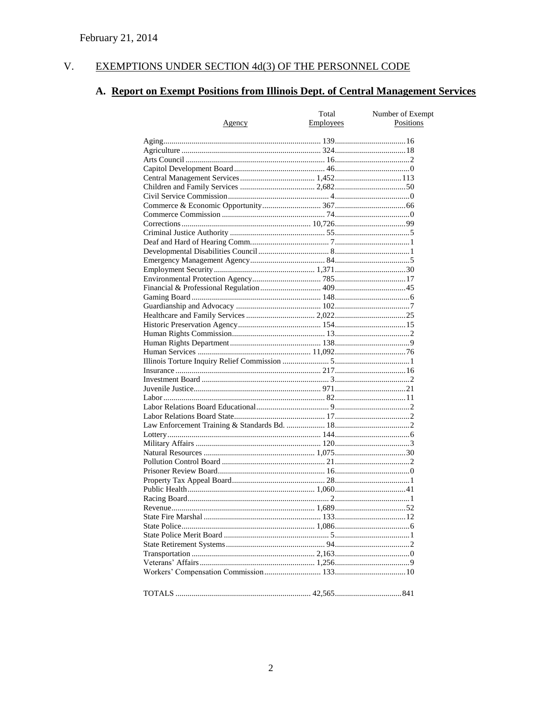#### $V<sub>r</sub>$ EXEMPTIONS UNDER SECTION 4d(3) OF THE PERSONNEL CODE

# A. Report on Exempt Positions from Illinois Dept. of Central Management Services

|        | Total     | Number of Exempt |
|--------|-----------|------------------|
| Agency | Employees | Positions        |
|        |           |                  |
|        |           |                  |
|        |           |                  |
|        |           |                  |
|        |           |                  |
|        |           |                  |
|        |           |                  |
|        |           |                  |
|        |           |                  |
|        |           |                  |
|        |           |                  |
|        |           |                  |
|        |           |                  |
|        |           |                  |
|        |           |                  |
|        |           |                  |
|        |           |                  |
|        |           |                  |
|        |           |                  |
|        |           |                  |
|        |           |                  |
|        |           |                  |
|        |           |                  |
|        |           |                  |
|        |           |                  |
|        |           |                  |
|        |           |                  |
|        |           |                  |
|        |           |                  |
|        |           |                  |
|        |           |                  |
|        |           |                  |
|        |           |                  |
|        |           |                  |
|        |           |                  |
|        |           |                  |
|        |           |                  |
|        |           |                  |
|        |           |                  |
|        |           |                  |
|        |           |                  |
|        |           |                  |
|        |           |                  |
|        |           |                  |
|        |           |                  |
|        |           |                  |
|        |           |                  |
|        |           |                  |
|        |           |                  |
|        |           |                  |
|        |           |                  |
|        |           |                  |
|        |           |                  |
|        |           |                  |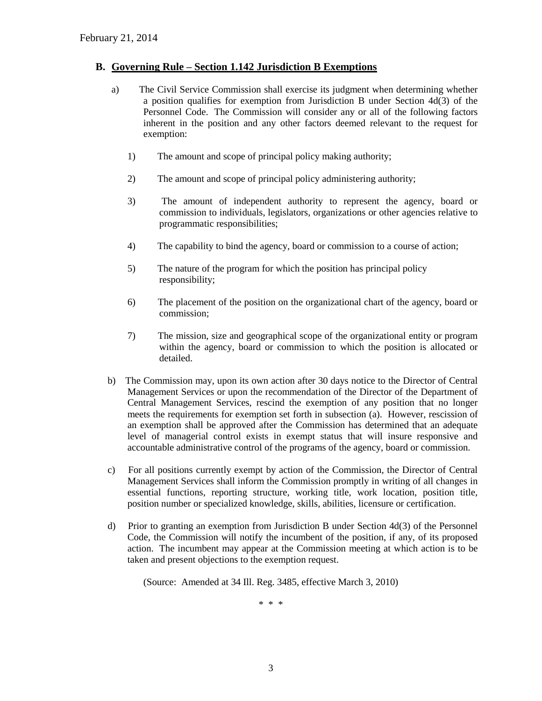#### **B. Governing Rule – Section 1.142 Jurisdiction B Exemptions**

- a) The Civil Service Commission shall exercise its judgment when determining whether a position qualifies for exemption from Jurisdiction B under Section 4d(3) of the Personnel Code. The Commission will consider any or all of the following factors inherent in the position and any other factors deemed relevant to the request for exemption:
	- 1) The amount and scope of principal policy making authority;
	- 2) The amount and scope of principal policy administering authority;
	- 3) The amount of independent authority to represent the agency, board or commission to individuals, legislators, organizations or other agencies relative to programmatic responsibilities;
	- 4) The capability to bind the agency, board or commission to a course of action;
	- 5) The nature of the program for which the position has principal policy responsibility;
	- 6) The placement of the position on the organizational chart of the agency, board or commission;
	- 7) The mission, size and geographical scope of the organizational entity or program within the agency, board or commission to which the position is allocated or detailed.
- b) The Commission may, upon its own action after 30 days notice to the Director of Central Management Services or upon the recommendation of the Director of the Department of Central Management Services, rescind the exemption of any position that no longer meets the requirements for exemption set forth in subsection (a). However, rescission of an exemption shall be approved after the Commission has determined that an adequate level of managerial control exists in exempt status that will insure responsive and accountable administrative control of the programs of the agency, board or commission.
- c) For all positions currently exempt by action of the Commission, the Director of Central Management Services shall inform the Commission promptly in writing of all changes in essential functions, reporting structure, working title, work location, position title, position number or specialized knowledge, skills, abilities, licensure or certification.
- d) Prior to granting an exemption from Jurisdiction B under Section 4d(3) of the Personnel Code, the Commission will notify the incumbent of the position, if any, of its proposed action. The incumbent may appear at the Commission meeting at which action is to be taken and present objections to the exemption request.

(Source: Amended at 34 Ill. Reg. 3485, effective March 3, 2010)

\* \* \*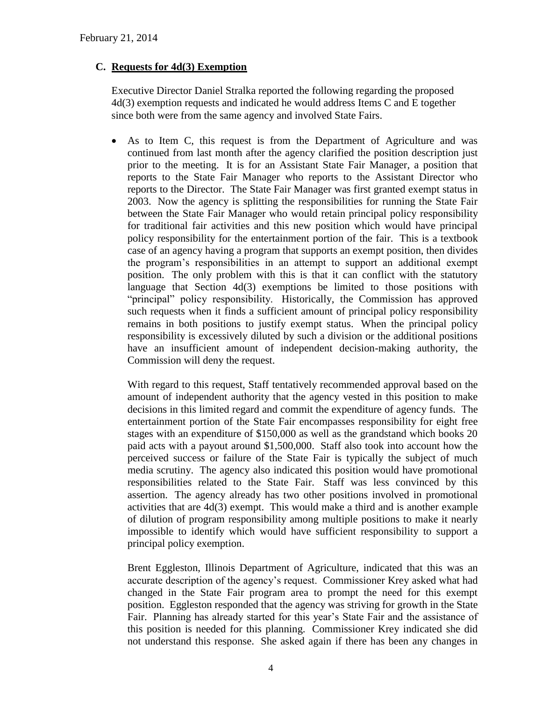### **C. Requests for 4d(3) Exemption**

Executive Director Daniel Stralka reported the following regarding the proposed 4d(3) exemption requests and indicated he would address Items C and E together since both were from the same agency and involved State Fairs.

 As to Item C, this request is from the Department of Agriculture and was continued from last month after the agency clarified the position description just prior to the meeting. It is for an Assistant State Fair Manager, a position that reports to the State Fair Manager who reports to the Assistant Director who reports to the Director. The State Fair Manager was first granted exempt status in 2003. Now the agency is splitting the responsibilities for running the State Fair between the State Fair Manager who would retain principal policy responsibility for traditional fair activities and this new position which would have principal policy responsibility for the entertainment portion of the fair. This is a textbook case of an agency having a program that supports an exempt position, then divides the program's responsibilities in an attempt to support an additional exempt position. The only problem with this is that it can conflict with the statutory language that Section 4d(3) exemptions be limited to those positions with "principal" policy responsibility. Historically, the Commission has approved such requests when it finds a sufficient amount of principal policy responsibility remains in both positions to justify exempt status. When the principal policy responsibility is excessively diluted by such a division or the additional positions have an insufficient amount of independent decision-making authority, the Commission will deny the request.

With regard to this request, Staff tentatively recommended approval based on the amount of independent authority that the agency vested in this position to make decisions in this limited regard and commit the expenditure of agency funds. The entertainment portion of the State Fair encompasses responsibility for eight free stages with an expenditure of \$150,000 as well as the grandstand which books 20 paid acts with a payout around \$1,500,000. Staff also took into account how the perceived success or failure of the State Fair is typically the subject of much media scrutiny. The agency also indicated this position would have promotional responsibilities related to the State Fair. Staff was less convinced by this assertion. The agency already has two other positions involved in promotional activities that are 4d(3) exempt. This would make a third and is another example of dilution of program responsibility among multiple positions to make it nearly impossible to identify which would have sufficient responsibility to support a principal policy exemption.

Brent Eggleston, Illinois Department of Agriculture, indicated that this was an accurate description of the agency's request. Commissioner Krey asked what had changed in the State Fair program area to prompt the need for this exempt position. Eggleston responded that the agency was striving for growth in the State Fair. Planning has already started for this year's State Fair and the assistance of this position is needed for this planning. Commissioner Krey indicated she did not understand this response. She asked again if there has been any changes in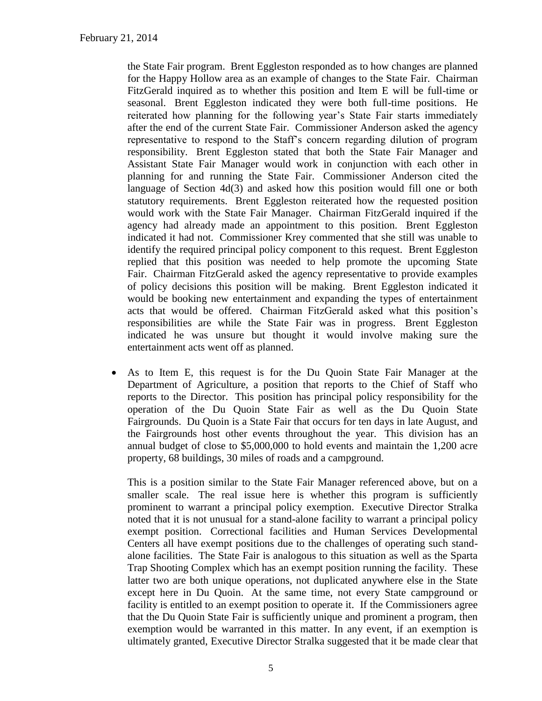the State Fair program. Brent Eggleston responded as to how changes are planned for the Happy Hollow area as an example of changes to the State Fair. Chairman FitzGerald inquired as to whether this position and Item E will be full-time or seasonal. Brent Eggleston indicated they were both full-time positions. He reiterated how planning for the following year's State Fair starts immediately after the end of the current State Fair. Commissioner Anderson asked the agency representative to respond to the Staff's concern regarding dilution of program responsibility. Brent Eggleston stated that both the State Fair Manager and Assistant State Fair Manager would work in conjunction with each other in planning for and running the State Fair. Commissioner Anderson cited the language of Section 4d(3) and asked how this position would fill one or both statutory requirements. Brent Eggleston reiterated how the requested position would work with the State Fair Manager. Chairman FitzGerald inquired if the agency had already made an appointment to this position. Brent Eggleston indicated it had not. Commissioner Krey commented that she still was unable to identify the required principal policy component to this request. Brent Eggleston replied that this position was needed to help promote the upcoming State Fair. Chairman FitzGerald asked the agency representative to provide examples of policy decisions this position will be making. Brent Eggleston indicated it would be booking new entertainment and expanding the types of entertainment acts that would be offered. Chairman FitzGerald asked what this position's responsibilities are while the State Fair was in progress. Brent Eggleston indicated he was unsure but thought it would involve making sure the entertainment acts went off as planned.

 As to Item E, this request is for the Du Quoin State Fair Manager at the Department of Agriculture, a position that reports to the Chief of Staff who reports to the Director. This position has principal policy responsibility for the operation of the Du Quoin State Fair as well as the Du Quoin State Fairgrounds. Du Quoin is a State Fair that occurs for ten days in late August, and the Fairgrounds host other events throughout the year. This division has an annual budget of close to \$5,000,000 to hold events and maintain the 1,200 acre property, 68 buildings, 30 miles of roads and a campground.

This is a position similar to the State Fair Manager referenced above, but on a smaller scale. The real issue here is whether this program is sufficiently prominent to warrant a principal policy exemption. Executive Director Stralka noted that it is not unusual for a stand-alone facility to warrant a principal policy exempt position. Correctional facilities and Human Services Developmental Centers all have exempt positions due to the challenges of operating such standalone facilities. The State Fair is analogous to this situation as well as the Sparta Trap Shooting Complex which has an exempt position running the facility. These latter two are both unique operations, not duplicated anywhere else in the State except here in Du Quoin. At the same time, not every State campground or facility is entitled to an exempt position to operate it. If the Commissioners agree that the Du Quoin State Fair is sufficiently unique and prominent a program, then exemption would be warranted in this matter. In any event, if an exemption is ultimately granted, Executive Director Stralka suggested that it be made clear that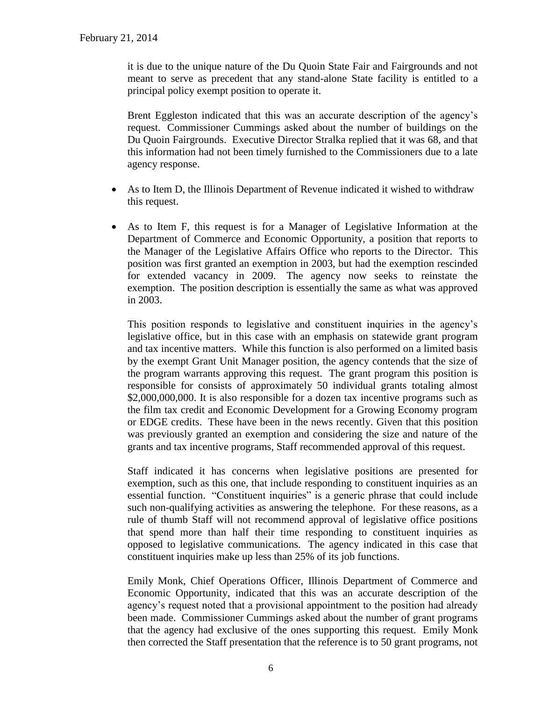it is due to the unique nature of the Du Quoin State Fair and Fairgrounds and not meant to serve as precedent that any stand-alone State facility is entitled to a principal policy exempt position to operate it.

Brent Eggleston indicated that this was an accurate description of the agency's request. Commissioner Cummings asked about the number of buildings on the Du Quoin Fairgrounds. Executive Director Stralka replied that it was 68, and that this information had not been timely furnished to the Commissioners due to a late agency response.

- As to Item D, the Illinois Department of Revenue indicated it wished to withdraw this request.
- As to Item F, this request is for a Manager of Legislative Information at the Department of Commerce and Economic Opportunity, a position that reports to the Manager of the Legislative Affairs Office who reports to the Director. This position was first granted an exemption in 2003, but had the exemption rescinded for extended vacancy in 2009. The agency now seeks to reinstate the exemption. The position description is essentially the same as what was approved in 2003.

This position responds to legislative and constituent inquiries in the agency's legislative office, but in this case with an emphasis on statewide grant program and tax incentive matters. While this function is also performed on a limited basis by the exempt Grant Unit Manager position, the agency contends that the size of the program warrants approving this request. The grant program this position is responsible for consists of approximately 50 individual grants totaling almost \$2,000,000,000. It is also responsible for a dozen tax incentive programs such as the film tax credit and Economic Development for a Growing Economy program or EDGE credits. These have been in the news recently. Given that this position was previously granted an exemption and considering the size and nature of the grants and tax incentive programs, Staff recommended approval of this request.

Staff indicated it has concerns when legislative positions are presented for exemption, such as this one, that include responding to constituent inquiries as an essential function. "Constituent inquiries" is a generic phrase that could include such non-qualifying activities as answering the telephone. For these reasons, as a rule of thumb Staff will not recommend approval of legislative office positions that spend more than half their time responding to constituent inquiries as opposed to legislative communications. The agency indicated in this case that constituent inquiries make up less than 25% of its job functions.

Emily Monk, Chief Operations Officer, Illinois Department of Commerce and Economic Opportunity, indicated that this was an accurate description of the agency's request noted that a provisional appointment to the position had already been made. Commissioner Cummings asked about the number of grant programs that the agency had exclusive of the ones supporting this request. Emily Monk then corrected the Staff presentation that the reference is to 50 grant programs, not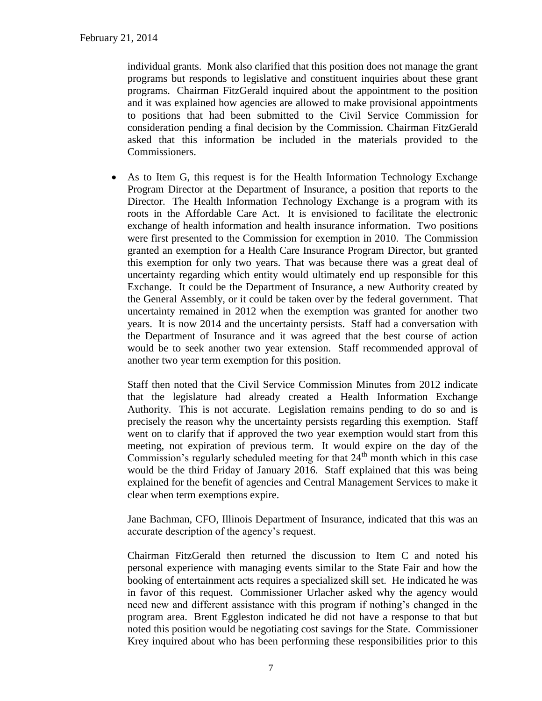individual grants. Monk also clarified that this position does not manage the grant programs but responds to legislative and constituent inquiries about these grant programs. Chairman FitzGerald inquired about the appointment to the position and it was explained how agencies are allowed to make provisional appointments to positions that had been submitted to the Civil Service Commission for consideration pending a final decision by the Commission. Chairman FitzGerald asked that this information be included in the materials provided to the Commissioners.

 As to Item G, this request is for the Health Information Technology Exchange Program Director at the Department of Insurance, a position that reports to the Director. The Health Information Technology Exchange is a program with its roots in the Affordable Care Act. It is envisioned to facilitate the electronic exchange of health information and health insurance information. Two positions were first presented to the Commission for exemption in 2010. The Commission granted an exemption for a Health Care Insurance Program Director, but granted this exemption for only two years. That was because there was a great deal of uncertainty regarding which entity would ultimately end up responsible for this Exchange. It could be the Department of Insurance, a new Authority created by the General Assembly, or it could be taken over by the federal government. That uncertainty remained in 2012 when the exemption was granted for another two years. It is now 2014 and the uncertainty persists. Staff had a conversation with the Department of Insurance and it was agreed that the best course of action would be to seek another two year extension. Staff recommended approval of another two year term exemption for this position.

Staff then noted that the Civil Service Commission Minutes from 2012 indicate that the legislature had already created a Health Information Exchange Authority. This is not accurate. Legislation remains pending to do so and is precisely the reason why the uncertainty persists regarding this exemption. Staff went on to clarify that if approved the two year exemption would start from this meeting, not expiration of previous term. It would expire on the day of the Commission's regularly scheduled meeting for that  $24<sup>th</sup>$  month which in this case would be the third Friday of January 2016. Staff explained that this was being explained for the benefit of agencies and Central Management Services to make it clear when term exemptions expire.

Jane Bachman, CFO, Illinois Department of Insurance, indicated that this was an accurate description of the agency's request.

Chairman FitzGerald then returned the discussion to Item C and noted his personal experience with managing events similar to the State Fair and how the booking of entertainment acts requires a specialized skill set. He indicated he was in favor of this request. Commissioner Urlacher asked why the agency would need new and different assistance with this program if nothing's changed in the program area. Brent Eggleston indicated he did not have a response to that but noted this position would be negotiating cost savings for the State. Commissioner Krey inquired about who has been performing these responsibilities prior to this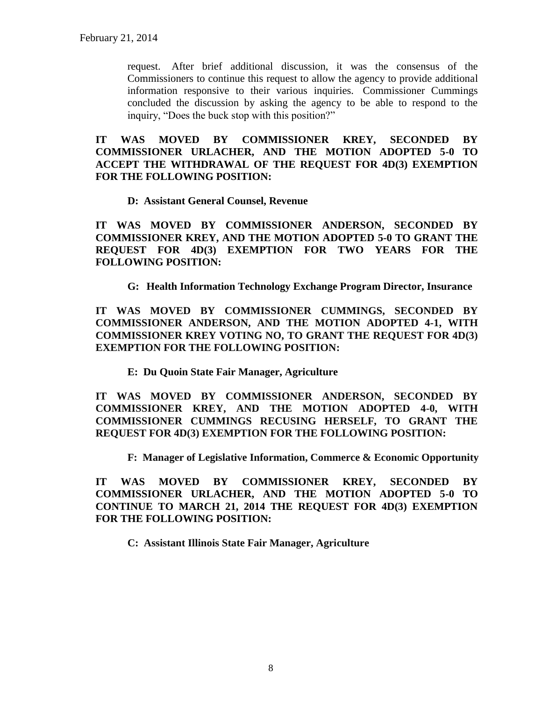request. After brief additional discussion, it was the consensus of the Commissioners to continue this request to allow the agency to provide additional information responsive to their various inquiries. Commissioner Cummings concluded the discussion by asking the agency to be able to respond to the inquiry, "Does the buck stop with this position?"

**IT WAS MOVED BY COMMISSIONER KREY, SECONDED BY COMMISSIONER URLACHER, AND THE MOTION ADOPTED 5-0 TO ACCEPT THE WITHDRAWAL OF THE REQUEST FOR 4D(3) EXEMPTION FOR THE FOLLOWING POSITION:**

#### **D: Assistant General Counsel, Revenue**

**IT WAS MOVED BY COMMISSIONER ANDERSON, SECONDED BY COMMISSIONER KREY, AND THE MOTION ADOPTED 5-0 TO GRANT THE REQUEST FOR 4D(3) EXEMPTION FOR TWO YEARS FOR THE FOLLOWING POSITION:**

**G: Health Information Technology Exchange Program Director, Insurance**

**IT WAS MOVED BY COMMISSIONER CUMMINGS, SECONDED BY COMMISSIONER ANDERSON, AND THE MOTION ADOPTED 4-1, WITH COMMISSIONER KREY VOTING NO, TO GRANT THE REQUEST FOR 4D(3) EXEMPTION FOR THE FOLLOWING POSITION:**

**E: Du Quoin State Fair Manager, Agriculture**

**IT WAS MOVED BY COMMISSIONER ANDERSON, SECONDED BY COMMISSIONER KREY, AND THE MOTION ADOPTED 4-0, WITH COMMISSIONER CUMMINGS RECUSING HERSELF, TO GRANT THE REQUEST FOR 4D(3) EXEMPTION FOR THE FOLLOWING POSITION:**

**F: Manager of Legislative Information, Commerce & Economic Opportunity**

**IT WAS MOVED BY COMMISSIONER KREY, SECONDED BY COMMISSIONER URLACHER, AND THE MOTION ADOPTED 5-0 TO CONTINUE TO MARCH 21, 2014 THE REQUEST FOR 4D(3) EXEMPTION FOR THE FOLLOWING POSITION:**

**C: Assistant Illinois State Fair Manager, Agriculture**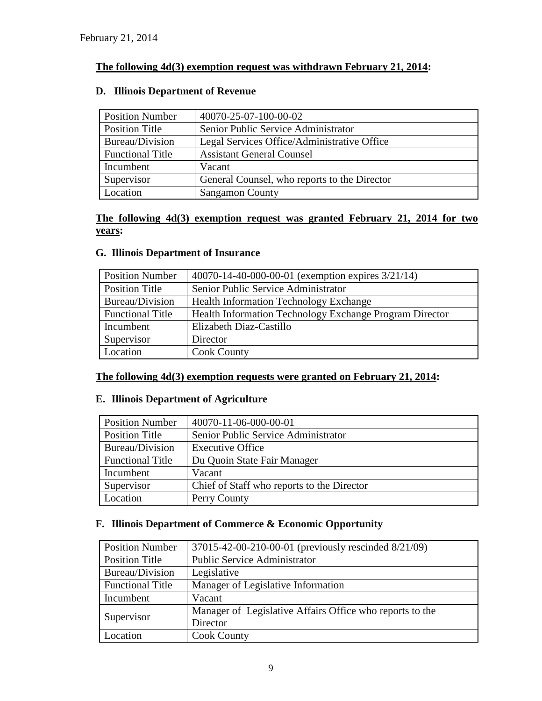### **The following 4d(3) exemption request was withdrawn February 21, 2014:**

### **D. Illinois Department of Revenue**

| <b>Position Number</b>  | 40070-25-07-100-00-02                        |  |
|-------------------------|----------------------------------------------|--|
| Position Title          | Senior Public Service Administrator          |  |
| Bureau/Division         | Legal Services Office/Administrative Office  |  |
| <b>Functional Title</b> | <b>Assistant General Counsel</b>             |  |
| Incumbent               | Vacant                                       |  |
| Supervisor              | General Counsel, who reports to the Director |  |
| Location                | <b>Sangamon County</b>                       |  |

### **The following 4d(3) exemption request was granted February 21, 2014 for two years:**

### **G. Illinois Department of Insurance**

| <b>Position Number</b>  | 40070-14-40-000-00-01 (exemption expires 3/21/14)       |  |
|-------------------------|---------------------------------------------------------|--|
| Position Title          | Senior Public Service Administrator                     |  |
| Bureau/Division         | <b>Health Information Technology Exchange</b>           |  |
| <b>Functional Title</b> | Health Information Technology Exchange Program Director |  |
| Incumbent               | Elizabeth Diaz-Castillo                                 |  |
| Supervisor              | Director                                                |  |
| Location                | <b>Cook County</b>                                      |  |

## **The following 4d(3) exemption requests were granted on February 21, 2014:**

### **E. Illinois Department of Agriculture**

| <b>Position Number</b>  | 40070-11-06-000-00-01                      |
|-------------------------|--------------------------------------------|
| Position Title          | Senior Public Service Administrator        |
| Bureau/Division         | <b>Executive Office</b>                    |
| <b>Functional Title</b> | Du Quoin State Fair Manager                |
| Incumbent               | Vacant                                     |
| Supervisor              | Chief of Staff who reports to the Director |
| Location                | Perry County                               |

### **F. Illinois Department of Commerce & Economic Opportunity**

| <b>Position Number</b>  | 37015-42-00-210-00-01 (previously rescinded 8/21/09)     |
|-------------------------|----------------------------------------------------------|
| Position Title          | <b>Public Service Administrator</b>                      |
| Bureau/Division         | Legislative                                              |
| <b>Functional Title</b> | Manager of Legislative Information                       |
| Incumbent               | Vacant                                                   |
|                         | Manager of Legislative Affairs Office who reports to the |
| Supervisor              | Director                                                 |
| Location                | <b>Cook County</b>                                       |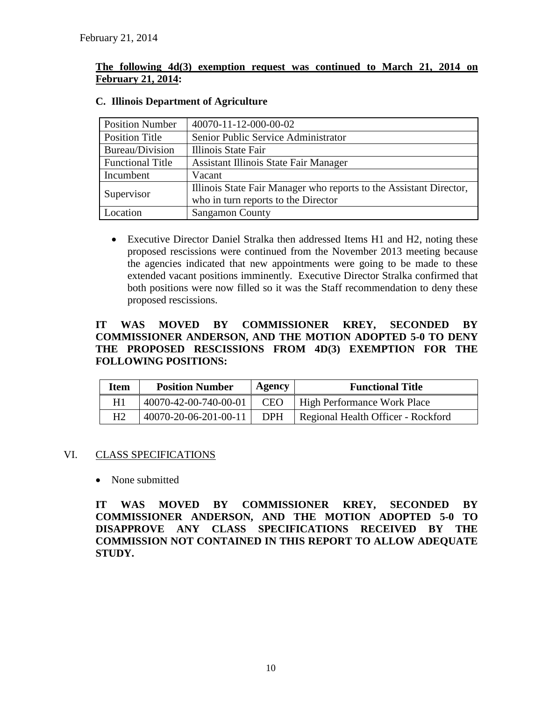### **The following 4d(3) exemption request was continued to March 21, 2014 on February 21, 2014:**

| <b>Position Number</b>  | 40070-11-12-000-00-02                                              |
|-------------------------|--------------------------------------------------------------------|
| <b>Position Title</b>   | Senior Public Service Administrator                                |
| Bureau/Division         | Illinois State Fair                                                |
| <b>Functional Title</b> | Assistant Illinois State Fair Manager                              |
| Incumbent               | Vacant                                                             |
|                         | Illinois State Fair Manager who reports to the Assistant Director, |
| Supervisor              | who in turn reports to the Director                                |
| Location                | <b>Sangamon County</b>                                             |

### **C. Illinois Department of Agriculture**

 Executive Director Daniel Stralka then addressed Items H1 and H2, noting these proposed rescissions were continued from the November 2013 meeting because the agencies indicated that new appointments were going to be made to these extended vacant positions imminently. Executive Director Stralka confirmed that both positions were now filled so it was the Staff recommendation to deny these proposed rescissions.

### **IT WAS MOVED BY COMMISSIONER KREY, SECONDED BY COMMISSIONER ANDERSON, AND THE MOTION ADOPTED 5-0 TO DENY THE PROPOSED RESCISSIONS FROM 4D(3) EXEMPTION FOR THE FOLLOWING POSITIONS:**

| Item | <b>Position Number</b> | Agency     | <b>Functional Title</b>            |
|------|------------------------|------------|------------------------------------|
| H1   | 40070-42-00-740-00-01  | <b>CEO</b> | High Performance Work Place        |
| H2   | 40070-20-06-201-00-11  | <b>DPH</b> | Regional Health Officer - Rockford |

### VI. CLASS SPECIFICATIONS

• None submitted

**IT WAS MOVED BY COMMISSIONER KREY, SECONDED BY COMMISSIONER ANDERSON, AND THE MOTION ADOPTED 5-0 TO DISAPPROVE ANY CLASS SPECIFICATIONS RECEIVED BY THE COMMISSION NOT CONTAINED IN THIS REPORT TO ALLOW ADEQUATE STUDY.**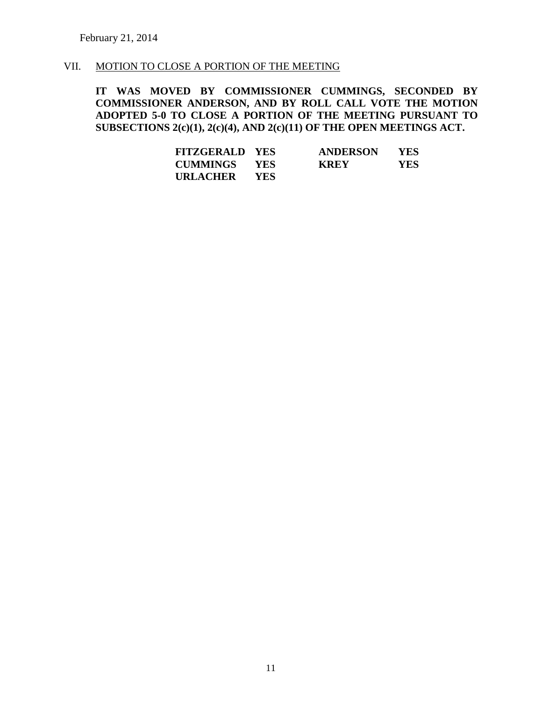### VII. MOTION TO CLOSE A PORTION OF THE MEETING

**IT WAS MOVED BY COMMISSIONER CUMMINGS, SECONDED BY COMMISSIONER ANDERSON, AND BY ROLL CALL VOTE THE MOTION ADOPTED 5-0 TO CLOSE A PORTION OF THE MEETING PURSUANT TO SUBSECTIONS 2(c)(1), 2(c)(4), AND 2(c)(11) OF THE OPEN MEETINGS ACT.**

| <b>FITZGERALD YES</b> |            | <b>ANDERSON</b> | YES |
|-----------------------|------------|-----------------|-----|
| <b>CUMMINGS</b>       | <b>YES</b> | <b>KREY</b>     | YES |
| <b>URLACHER</b>       | <b>YES</b> |                 |     |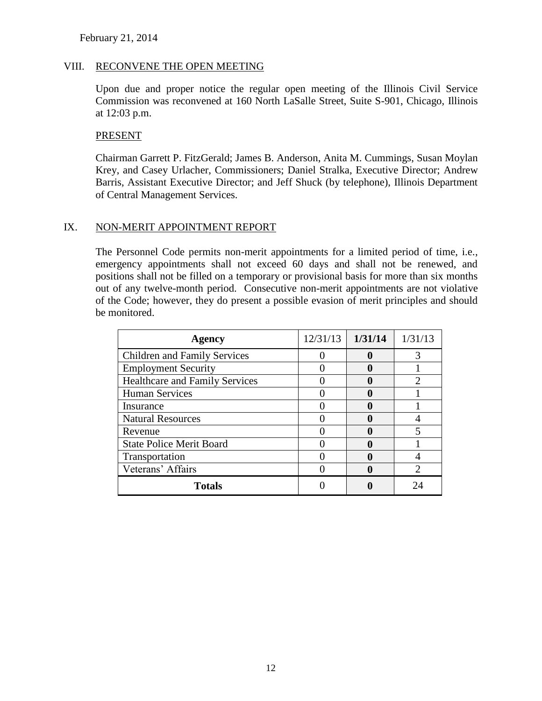#### VIII. RECONVENE THE OPEN MEETING

Upon due and proper notice the regular open meeting of the Illinois Civil Service Commission was reconvened at 160 North LaSalle Street, Suite S-901, Chicago, Illinois at 12:03 p.m.

#### PRESENT

Chairman Garrett P. FitzGerald; James B. Anderson, Anita M. Cummings, Susan Moylan Krey, and Casey Urlacher, Commissioners; Daniel Stralka, Executive Director; Andrew Barris, Assistant Executive Director; and Jeff Shuck (by telephone), Illinois Department of Central Management Services.

#### IX. NON-MERIT APPOINTMENT REPORT

The Personnel Code permits non-merit appointments for a limited period of time, i.e., emergency appointments shall not exceed 60 days and shall not be renewed, and positions shall not be filled on a temporary or provisional basis for more than six months out of any twelve-month period. Consecutive non-merit appointments are not violative of the Code; however, they do present a possible evasion of merit principles and should be monitored.

| <b>Agency</b>                         | 12/31/13 | 1/31/14 | 1/31/13 |
|---------------------------------------|----------|---------|---------|
| <b>Children and Family Services</b>   |          |         |         |
| <b>Employment Security</b>            |          |         |         |
| <b>Healthcare and Family Services</b> |          |         |         |
| <b>Human Services</b>                 |          |         |         |
| Insurance                             |          |         |         |
| <b>Natural Resources</b>              |          |         |         |
| Revenue                               |          |         |         |
| <b>State Police Merit Board</b>       |          |         |         |
| Transportation                        |          |         |         |
| Veterans' Affairs                     |          |         |         |
| <b>Totals</b>                         |          |         |         |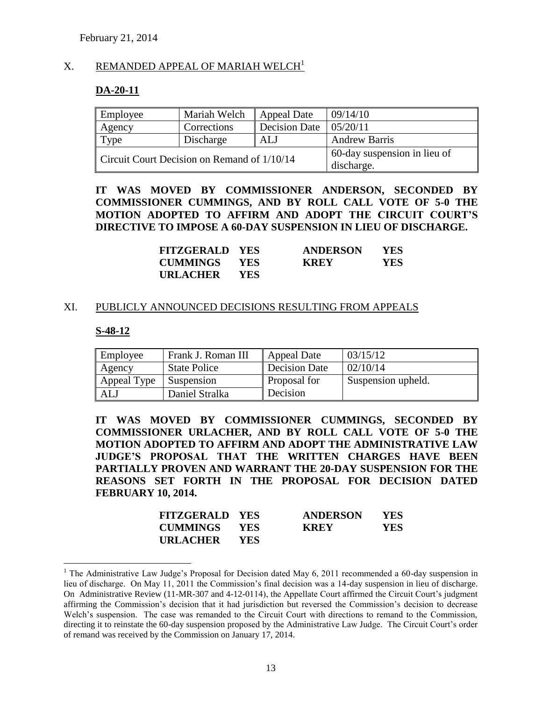#### $X.$  REMANDED APPEAL OF MARIAH WELCH<sup>1</sup>

#### **DA-20-11**

| Employee                                    | Mariah Welch | Appeal Date          | 09/14/10                     |
|---------------------------------------------|--------------|----------------------|------------------------------|
| Agency                                      | Corrections  | <b>Decision Date</b> | 05/20/11                     |
| Type                                        | Discharge    | ALJ                  | <b>Andrew Barris</b>         |
| Circuit Court Decision on Remand of 1/10/14 |              |                      | 60-day suspension in lieu of |
|                                             |              | discharge.           |                              |

**IT WAS MOVED BY COMMISSIONER ANDERSON, SECONDED BY COMMISSIONER CUMMINGS, AND BY ROLL CALL VOTE OF 5-0 THE MOTION ADOPTED TO AFFIRM AND ADOPT THE CIRCUIT COURT'S DIRECTIVE TO IMPOSE A 60-DAY SUSPENSION IN LIEU OF DISCHARGE.**

| <b>FITZGERALD YES</b> |            | <b>ANDERSON</b> | YES. |
|-----------------------|------------|-----------------|------|
| <b>CUMMINGS</b>       | YES        | <b>KREY</b>     | YES. |
| <b>URLACHER</b>       | <b>YES</b> |                 |      |

#### XI. PUBLICLY ANNOUNCED DECISIONS RESULTING FROM APPEALS

#### **S-48-12**

 $\overline{a}$ 

| Employee    | Frank J. Roman III  | <b>Appeal Date</b>   | 03/15/12           |
|-------------|---------------------|----------------------|--------------------|
| Agency      | <b>State Police</b> | <b>Decision Date</b> | 02/10/14           |
| Appeal Type | <b>Suspension</b>   | Proposal for         | Suspension upheld. |
| AL          | Daniel Stralka      | Decision             |                    |

**IT WAS MOVED BY COMMISSIONER CUMMINGS, SECONDED BY COMMISSIONER URLACHER, AND BY ROLL CALL VOTE OF 5-0 THE MOTION ADOPTED TO AFFIRM AND ADOPT THE ADMINISTRATIVE LAW JUDGE'S PROPOSAL THAT THE WRITTEN CHARGES HAVE BEEN PARTIALLY PROVEN AND WARRANT THE 20-DAY SUSPENSION FOR THE REASONS SET FORTH IN THE PROPOSAL FOR DECISION DATED FEBRUARY 10, 2014.**

| <b>FITZGERALD YES</b> |            | <b>ANDERSON</b> | YES  |
|-----------------------|------------|-----------------|------|
| <b>CUMMINGS YES</b>   |            | <b>KREY</b>     | YES. |
| <b>URLACHER</b>       | <b>YES</b> |                 |      |

<sup>&</sup>lt;sup>1</sup> The Administrative Law Judge's Proposal for Decision dated May 6, 2011 recommended a 60-day suspension in lieu of discharge. On May 11, 2011 the Commission's final decision was a 14-day suspension in lieu of discharge. On Administrative Review (11-MR-307 and 4-12-0114), the Appellate Court affirmed the Circuit Court's judgment affirming the Commission's decision that it had jurisdiction but reversed the Commission's decision to decrease Welch's suspension. The case was remanded to the Circuit Court with directions to remand to the Commission, directing it to reinstate the 60-day suspension proposed by the Administrative Law Judge. The Circuit Court's order of remand was received by the Commission on January 17, 2014.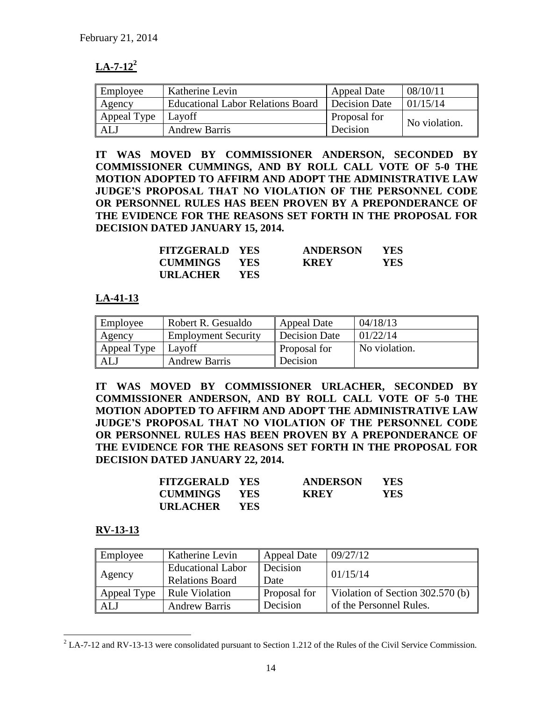# $LA - 7 - 12<sup>2</sup>$

| Employee    | Katherine Levin                          | <b>Appeal Date</b> | 08/10/11      |
|-------------|------------------------------------------|--------------------|---------------|
| Agency      | <b>Educational Labor Relations Board</b> | Decision Date      | 01/15/14      |
| Appeal Type | Lavoff                                   | Proposal for       | No violation. |
| ALJ         | <b>Andrew Barris</b>                     | Decision           |               |

**IT WAS MOVED BY COMMISSIONER ANDERSON, SECONDED BY COMMISSIONER CUMMINGS, AND BY ROLL CALL VOTE OF 5-0 THE MOTION ADOPTED TO AFFIRM AND ADOPT THE ADMINISTRATIVE LAW JUDGE'S PROPOSAL THAT NO VIOLATION OF THE PERSONNEL CODE OR PERSONNEL RULES HAS BEEN PROVEN BY A PREPONDERANCE OF THE EVIDENCE FOR THE REASONS SET FORTH IN THE PROPOSAL FOR DECISION DATED JANUARY 15, 2014.**

| <b>FITZGERALD YES</b> |            | <b>ANDERSON</b> | YES. |
|-----------------------|------------|-----------------|------|
| <b>CUMMINGS YES</b>   |            | <b>KREY</b>     | YES  |
| <b>URLACHER</b>       | <b>YES</b> |                 |      |

### **LA-41-13**

| Employee    | Robert R. Gesualdo         | Appeal Date         | 04/18/13      |
|-------------|----------------------------|---------------------|---------------|
| Agency      | <b>Employment Security</b> | Decision Date       | 01/22/14      |
| Appeal Type | Layoff                     | <b>Proposal for</b> | No violation. |
| <b>ALJ</b>  | <b>Andrew Barris</b>       | Decision            |               |

**IT WAS MOVED BY COMMISSIONER URLACHER, SECONDED BY COMMISSIONER ANDERSON, AND BY ROLL CALL VOTE OF 5-0 THE MOTION ADOPTED TO AFFIRM AND ADOPT THE ADMINISTRATIVE LAW JUDGE'S PROPOSAL THAT NO VIOLATION OF THE PERSONNEL CODE OR PERSONNEL RULES HAS BEEN PROVEN BY A PREPONDERANCE OF THE EVIDENCE FOR THE REASONS SET FORTH IN THE PROPOSAL FOR DECISION DATED JANUARY 22, 2014.**

| <b>FITZGERALD YES</b> |            | <b>ANDERSON</b> | YES. |
|-----------------------|------------|-----------------|------|
| <b>CUMMINGS</b>       | <b>YES</b> | <b>KREY</b>     | YES. |
| <b>URLACHER</b>       | YES.       |                 |      |

### **RV-13-13**

 $\overline{a}$ 

| Employee    | Katherine Levin          | <b>Appeal Date</b>  | 09/27/12                         |
|-------------|--------------------------|---------------------|----------------------------------|
|             | <b>Educational Labor</b> | Decision            | 01/15/14                         |
| Agency      | <b>Relations Board</b>   | l Date              |                                  |
| Appeal Type | <b>Rule Violation</b>    | <b>Proposal for</b> | Violation of Section 302.570 (b) |
| AL J        | <b>Andrew Barris</b>     | Decision            | of the Personnel Rules.          |

 $2$  LA-7-12 and RV-13-13 were consolidated pursuant to Section 1.212 of the Rules of the Civil Service Commission.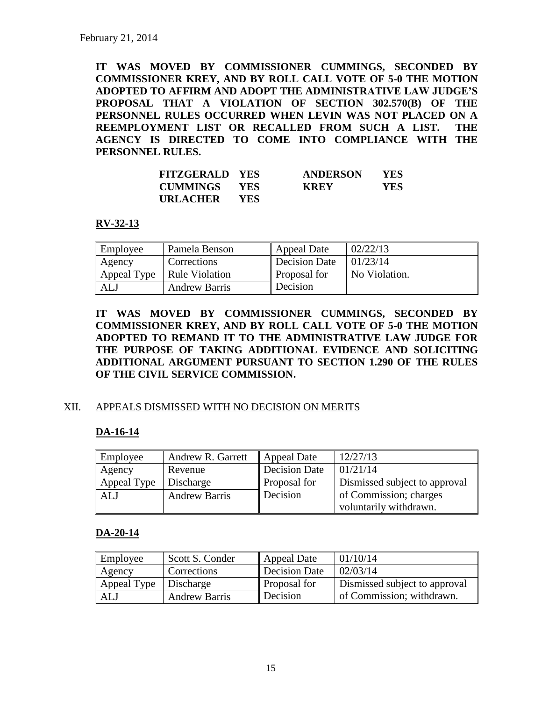**IT WAS MOVED BY COMMISSIONER CUMMINGS, SECONDED BY COMMISSIONER KREY, AND BY ROLL CALL VOTE OF 5-0 THE MOTION ADOPTED TO AFFIRM AND ADOPT THE ADMINISTRATIVE LAW JUDGE'S PROPOSAL THAT A VIOLATION OF SECTION 302.570(B) OF THE PERSONNEL RULES OCCURRED WHEN LEVIN WAS NOT PLACED ON A REEMPLOYMENT LIST OR RECALLED FROM SUCH A LIST. THE AGENCY IS DIRECTED TO COME INTO COMPLIANCE WITH THE PERSONNEL RULES.** 

| <b>FITZGERALD YES</b> |            | <b>ANDERSON</b> | YES |
|-----------------------|------------|-----------------|-----|
| <b>CUMMINGS YES</b>   |            | <b>KREY</b>     | YES |
| URLACHER              | <b>YES</b> |                 |     |

### **RV-32-13**

| Employee    | Pamela Benson        | <b>Appeal Date</b>   | 02/22/13      |
|-------------|----------------------|----------------------|---------------|
| Agency      | Corrections          | <b>Decision Date</b> | 01/23/14      |
| Appeal Type | Rule Violation       | Proposal for         | No Violation. |
| ALJ         | <b>Andrew Barris</b> | Decision             |               |

**IT WAS MOVED BY COMMISSIONER CUMMINGS, SECONDED BY COMMISSIONER KREY, AND BY ROLL CALL VOTE OF 5-0 THE MOTION ADOPTED TO REMAND IT TO THE ADMINISTRATIVE LAW JUDGE FOR THE PURPOSE OF TAKING ADDITIONAL EVIDENCE AND SOLICITING ADDITIONAL ARGUMENT PURSUANT TO SECTION 1.290 OF THE RULES OF THE CIVIL SERVICE COMMISSION.** 

### XII. APPEALS DISMISSED WITH NO DECISION ON MERITS

### **DA-16-14**

| Employee    | Andrew R. Garrett    | Appeal Date          | 12/27/13                      |
|-------------|----------------------|----------------------|-------------------------------|
| Agency      | Revenue              | <b>Decision Date</b> | 01/21/14                      |
| Appeal Type | Discharge            | Proposal for         | Dismissed subject to approval |
| ALJ         | <b>Andrew Barris</b> | Decision             | of Commission; charges        |
|             |                      |                      | voluntarily withdrawn.        |

#### **DA-20-14**

| Employee                | Scott S. Conder      | Appeal Date         | 01/10/14                      |
|-------------------------|----------------------|---------------------|-------------------------------|
| Agency                  | Corrections          | Decision Date       | 02/03/14                      |
| Appeal Type   Discharge |                      | <b>Proposal for</b> | Dismissed subject to approval |
| ALJ                     | <b>Andrew Barris</b> | Decision            | of Commission; withdrawn.     |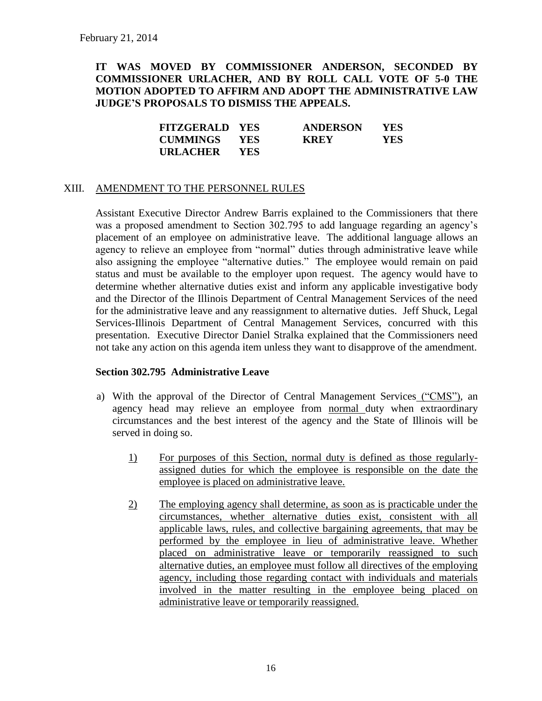### **IT WAS MOVED BY COMMISSIONER ANDERSON, SECONDED BY COMMISSIONER URLACHER, AND BY ROLL CALL VOTE OF 5-0 THE MOTION ADOPTED TO AFFIRM AND ADOPT THE ADMINISTRATIVE LAW JUDGE'S PROPOSALS TO DISMISS THE APPEALS.**

| <b>FITZGERALD YES</b> |       | <b>ANDERSON</b> | <b>YES</b> |
|-----------------------|-------|-----------------|------------|
| <b>CUMMINGS YES</b>   |       | <b>KREY</b>     | YES.       |
| URLACHER              | - YES |                 |            |

#### XIII. AMENDMENT TO THE PERSONNEL RULES

Assistant Executive Director Andrew Barris explained to the Commissioners that there was a proposed amendment to Section 302.795 to add language regarding an agency's placement of an employee on administrative leave. The additional language allows an agency to relieve an employee from "normal" duties through administrative leave while also assigning the employee "alternative duties." The employee would remain on paid status and must be available to the employer upon request. The agency would have to determine whether alternative duties exist and inform any applicable investigative body and the Director of the Illinois Department of Central Management Services of the need for the administrative leave and any reassignment to alternative duties. Jeff Shuck, Legal Services-Illinois Department of Central Management Services, concurred with this presentation. Executive Director Daniel Stralka explained that the Commissioners need not take any action on this agenda item unless they want to disapprove of the amendment.

#### **Section 302.795 Administrative Leave**

- a) With the approval of the Director of Central Management Services ("CMS"), an agency head may relieve an employee from normal duty when extraordinary circumstances and the best interest of the agency and the State of Illinois will be served in doing so.
	- 1) For purposes of this Section, normal duty is defined as those regularlyassigned duties for which the employee is responsible on the date the employee is placed on administrative leave.
	- 2) The employing agency shall determine, as soon as is practicable under the circumstances, whether alternative duties exist, consistent with all applicable laws, rules, and collective bargaining agreements, that may be performed by the employee in lieu of administrative leave. Whether placed on administrative leave or temporarily reassigned to such alternative duties, an employee must follow all directives of the employing agency, including those regarding contact with individuals and materials involved in the matter resulting in the employee being placed on administrative leave or temporarily reassigned.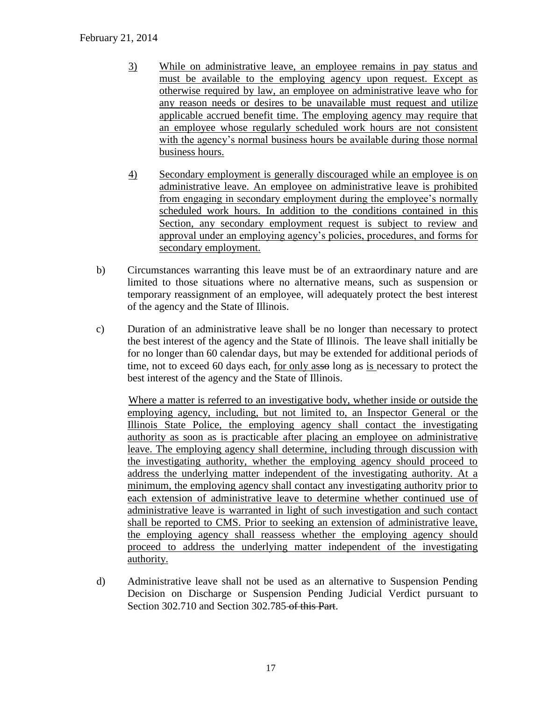### February 21, 2014

- 3) While on administrative leave, an employee remains in pay status and must be available to the employing agency upon request. Except as otherwise required by law, an employee on administrative leave who for any reason needs or desires to be unavailable must request and utilize applicable accrued benefit time. The employing agency may require that an employee whose regularly scheduled work hours are not consistent with the agency's normal business hours be available during those normal business hours.
- 4) Secondary employment is generally discouraged while an employee is on administrative leave. An employee on administrative leave is prohibited from engaging in secondary employment during the employee's normally scheduled work hours. In addition to the conditions contained in this Section, any secondary employment request is subject to review and approval under an employing agency's policies, procedures, and forms for secondary employment.
- b) Circumstances warranting this leave must be of an extraordinary nature and are limited to those situations where no alternative means, such as suspension or temporary reassignment of an employee, will adequately protect the best interest of the agency and the State of Illinois.
- c) Duration of an administrative leave shall be no longer than necessary to protect the best interest of the agency and the State of Illinois. The leave shall initially be for no longer than 60 calendar days, but may be extended for additional periods of time, not to exceed 60 days each, for only assolong as is necessary to protect the best interest of the agency and the State of Illinois.

Where a matter is referred to an investigative body, whether inside or outside the employing agency, including, but not limited to, an Inspector General or the Illinois State Police, the employing agency shall contact the investigating authority as soon as is practicable after placing an employee on administrative leave. The employing agency shall determine, including through discussion with the investigating authority, whether the employing agency should proceed to address the underlying matter independent of the investigating authority. At a minimum, the employing agency shall contact any investigating authority prior to each extension of administrative leave to determine whether continued use of administrative leave is warranted in light of such investigation and such contact shall be reported to CMS. Prior to seeking an extension of administrative leave, the employing agency shall reassess whether the employing agency should proceed to address the underlying matter independent of the investigating authority.

d) Administrative leave shall not be used as an alternative to Suspension Pending Decision on Discharge or Suspension Pending Judicial Verdict pursuant to Section 302.710 and Section 302.785 of this Part.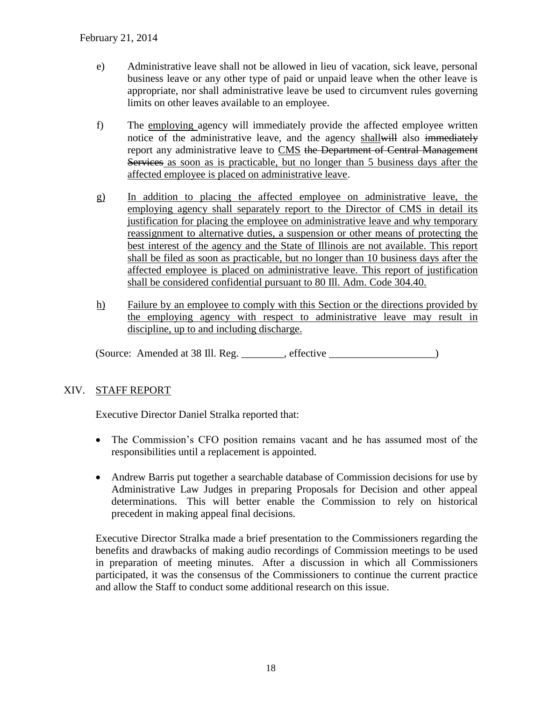- e) Administrative leave shall not be allowed in lieu of vacation, sick leave, personal business leave or any other type of paid or unpaid leave when the other leave is appropriate, nor shall administrative leave be used to circumvent rules governing limits on other leaves available to an employee.
- f) The employing agency will immediately provide the affected employee written notice of the administrative leave, and the agency shallwill also immediately report any administrative leave to CMS the Department of Central Management Services as soon as is practicable, but no longer than 5 business days after the affected employee is placed on administrative leave.
- g) In addition to placing the affected employee on administrative leave, the employing agency shall separately report to the Director of CMS in detail its justification for placing the employee on administrative leave and why temporary reassignment to alternative duties, a suspension or other means of protecting the best interest of the agency and the State of Illinois are not available. This report shall be filed as soon as practicable, but no longer than 10 business days after the affected employee is placed on administrative leave. This report of justification shall be considered confidential pursuant to 80 Ill. Adm. Code 304.40.
- h) Failure by an employee to comply with this Section or the directions provided by the employing agency with respect to administrative leave may result in discipline, up to and including discharge.

(Source: Amended at 38 Ill. Reg. \_\_\_\_\_\_\_\_, effective \_\_\_\_\_\_\_\_\_\_\_\_\_\_\_\_\_\_\_\_)

## XIV. STAFF REPORT

Executive Director Daniel Stralka reported that:

- The Commission's CFO position remains vacant and he has assumed most of the responsibilities until a replacement is appointed.
- Andrew Barris put together a searchable database of Commission decisions for use by Administrative Law Judges in preparing Proposals for Decision and other appeal determinations. This will better enable the Commission to rely on historical precedent in making appeal final decisions.

Executive Director Stralka made a brief presentation to the Commissioners regarding the benefits and drawbacks of making audio recordings of Commission meetings to be used in preparation of meeting minutes. After a discussion in which all Commissioners participated, it was the consensus of the Commissioners to continue the current practice and allow the Staff to conduct some additional research on this issue.